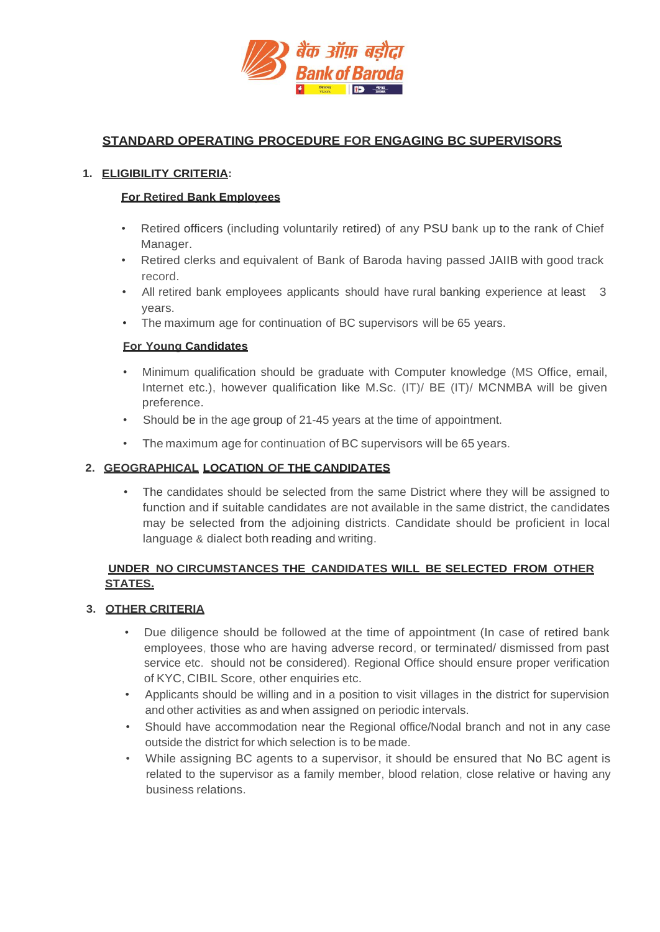

# **STANDARD OPERATING PROCEDURE FOR ENGAGING BC SUPERVISORS**

#### **1. ELIGIBILITY CRITERIA:**

#### **For Retired Bank Employees**

- Retired officers (including voluntarily retired) of any PSU bank up to the rank of Chief Manager.
- Retired clerks and equivalent of Bank of Baroda having passed JAIIB with good track record.
- All retired bank employees applicants should have rural banking experience at least 3 years.
- The maximum age for continuation of BC supervisors will be 65 years.

#### **For Young Candidates**

- Minimum qualification should be graduate with Computer knowledge (MS Office, email, Internet etc.), however qualification like M.Sc. (IT)/ BE (IT)/ MCNMBA will be given preference.
- Should be in the age group of 21-45 years at the time of appointment.
- The maximum age for continuation of BC supervisors will be 65 years.

### **2. GEOGRAPHICAL LOCATION OF THE CANDIDATES**

• The candidates should be selected from the same District where they will be assigned to function and if suitable candidates are not available in the same district, the candidates may be selected from the adjoining districts. Candidate should be proficient in local language & dialect both reading and writing.

### **UNDER NO CIRCUMSTANCES THE CANDIDATES WILL BE SELECTED FROM OTHER STATES.**

### **3. OTHER CRITERIA**

- Due diligence should be followed at the time of appointment (In case of retired bank employees, those who are having adverse record, or terminated/ dismissed from past service etc. should not be considered). Regional Office should ensure proper verification of KYC, CIBIL Score, other enquiries etc.
- Applicants should be willing and in a position to visit villages in the district for supervision and other activities as and when assigned on periodic intervals.
- Should have accommodation near the Regional office/Nodal branch and not in any case outside the district for which selection is to be made.
- While assigning BC agents to a supervisor, it should be ensured that No BC agent is related to the supervisor as a family member, blood relation, close relative or having any business relations.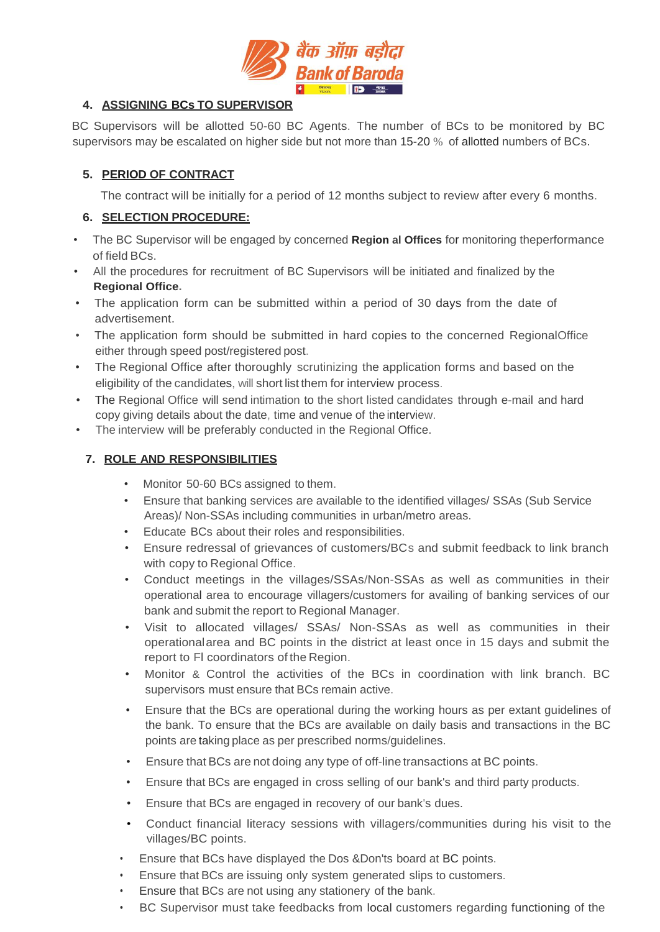

### **4. ASSIGNING BCs TO SUPERVISOR**

BC Supervisors will be allotted 50-60 BC Agents. The number of BCs to be monitored by BC supervisors may be escalated on higher side but not more than 15-20 % of allotted numbers of BCs.

### **5. PERIOD OF CONTRACT**

The contract will be initially for a period of 12 months subject to review after every 6 months.

### **6. SELECTION PROCEDURE:**

- The BC Supervisor will be engaged by concerned **Region al Offices** for monitoring theperformance of field BCs.
- All the procedures for recruitment of BC Supervisors will be initiated and finalized by the **Regional Office.**
- The application form can be submitted within a period of 30 days from the date of advertisement.
- The application form should be submitted in hard copies to the concerned RegionalOffice either through speed post/registered post.
- The Regional Office after thoroughly scrutinizing the application forms and based on the eligibility of the candidates, will short list them for interview process.
- The Regional Office will send intimation to the short listed candidates through e-mail and hard copy giving details about the date, time and venue of the interview.
- The interview will be preferably conducted in the Regional Office.

## **7. ROLE AND RESPONSIBILITIES**

- Monitor 50-60 BCs assigned to them.
- Ensure that banking services are available to the identified villages/ SSAs (Sub Service Areas)/ Non-SSAs including communities in urban/metro areas.
- Educate BCs about their roles and responsibilities.
- Ensure redressal of grievances of customers/BCs and submit feedback to link branch with copy to Regional Office.
- Conduct meetings in the villages/SSAs/Non-SSAs as well as communities in their operational area to encourage villagers/customers for availing of banking services of our bank and submit the report to Regional Manager.
- Visit to allocated villages/ SSAs/ Non-SSAs as well as communities in their operationalarea and BC points in the district at least once in 15 days and submit the report to Fl coordinators of the Region.
- Monitor & Control the activities of the BCs in coordination with link branch. BC supervisors must ensure that BCs remain active.
- Ensure that the BCs are operational during the working hours as per extant guidelines of the bank. To ensure that the BCs are available on daily basis and transactions in the BC points are taking place as per prescribed norms/guidelines.
- Ensure that BCs are not doing any type of off-line transactions at BC points.
- Ensure that BCs are engaged in cross selling of our bank's and third party products.
- Ensure that BCs are engaged in recovery of our bank's dues.
- Conduct financial literacy sessions with villagers/communities during his visit to the villages/BC points.
- Ensure that BCs have displayed the Dos &Don'ts board at BC points.
- Ensure that BCs are issuing only system generated slips to customers.
- Ensure that BCs are not using any stationery of the bank.
- BC Supervisor must take feedbacks from local customers regarding functioning of the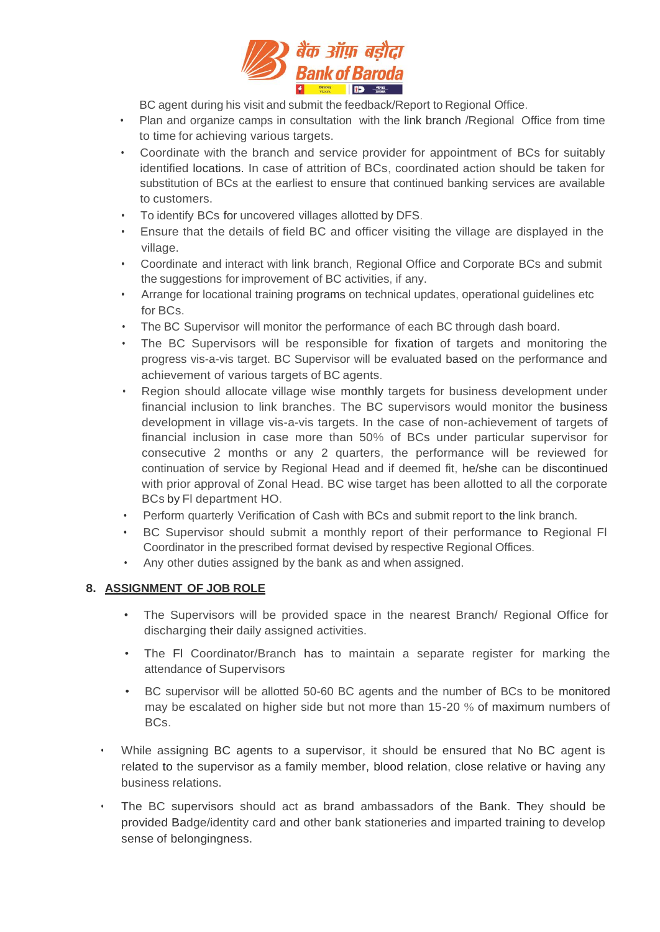

BC agent during his visit and submit the feedback/Report to Regional Office.

- Plan and organize camps in consultation with the link branch /Regional Office from time to time for achieving various targets.
- Coordinate with the branch and service provider for appointment of BCs for suitably identified locations. In case of attrition of BCs, coordinated action should be taken for substitution of BCs at the earliest to ensure that continued banking services are available to customers.
- To identify BCs for uncovered villages allotted by DFS.
- Ensure that the details of field BC and officer visiting the village are displayed in the village.
- Coordinate and interact with link branch, Regional Office and Corporate BCs and submit the suggestions for improvement of BC activities, if any.
- Arrange for locational training programs on technical updates, operational guidelines etc for BCs.
- The BC Supervisor will monitor the performance of each BC through dash board.
- The BC Supervisors will be responsible for fixation of targets and monitoring the progress vis-a-vis target. BC Supervisor will be evaluated based on the performance and achievement of various targets of BC agents.
- Region should allocate village wise monthly targets for business development under financial inclusion to link branches. The BC supervisors would monitor the business development in village vis-a-vis targets. In the case of non-achievement of targets of financial inclusion in case more than 50% of BCs under particular supervisor for consecutive 2 months or any 2 quarters, the performance will be reviewed for continuation of service by Regional Head and if deemed fit, he/she can be discontinued with prior approval of Zonal Head. BC wise target has been allotted to all the corporate BCs by Fl department HO.
- Perform quarterly Verification of Cash with BCs and submit report to the link branch.
- BC Supervisor should submit a monthly report of their performance to Regional Fl Coordinator in the prescribed format devised by respective Regional Offices.
- Any other duties assigned by the bank as and when assigned.

### **8. ASSIGNMENT OF JOB ROLE**

- The Supervisors will be provided space in the nearest Branch/ Regional Office for discharging their daily assigned activities.
- The Fl Coordinator/Branch has to maintain a separate register for marking the attendance of Supervisors.
- BC supervisor will be allotted 50-60 BC agents and the number of BCs to be monitored may be escalated on higher side but not more than 15-20 % of maximum numbers of BCs.
- While assigning BC agents to a supervisor, it should be ensured that No BC agent is related to the supervisor as a family member, blood relation, close relative or having any business relations.
- The BC supervisors should act as brand ambassadors of the Bank. They should be provided Badge/identity card and other bank stationeries and imparted training to develop sense of belongingness.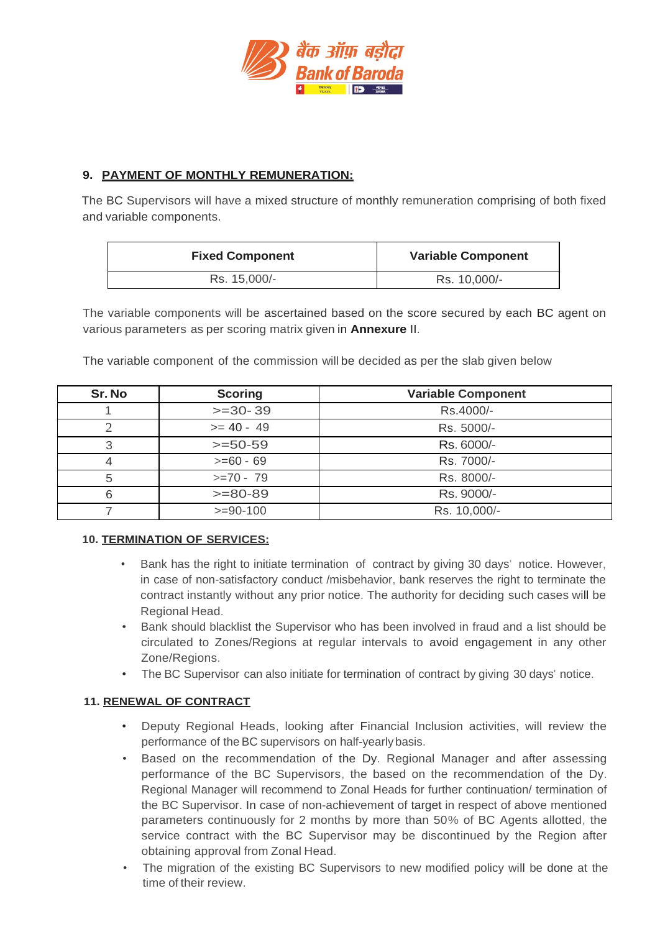

### **9. PAYMENT OF MONTHLY REMUNERATION:**

The BC Supervisors will have a mixed structure of monthly remuneration comprising of both fixed and variable components.

| <b>Fixed Component</b> | <b>Variable Component</b> |  |
|------------------------|---------------------------|--|
| Rs. 15,000/-           | Rs. 10,000/-              |  |

The variable components will be ascertained based on the score secured by each BC agent on various parameters as per scoring matrix given in **Annexure** II.

| Sr. No | <b>Scoring</b> | <b>Variable Component</b> |  |
|--------|----------------|---------------------------|--|
|        | $>=30-39$      | Rs.4000/-                 |  |
|        | $>= 40 - 49$   | Rs. 5000/-                |  |
| 3      | $>=50-59$      | Rs. 6000/-                |  |
|        | $>= 60 - 69$   | Rs. 7000/-                |  |
| 5      | $>=70 - 79$    | Rs. 8000/-                |  |
|        | $>= 80-89$     | Rs. 9000/-                |  |
|        | $>= 90-100$    | Rs. 10,000/-              |  |

The variable component of the commission will be decided as per the slab given below

### **10. TERMINATION OF SERVICES:**

- Bank has the right to initiate termination of contract by giving 30 days' notice. However, in case of non-satisfactory conduct /misbehavior, bank reserves the right to terminate the contract instantly without any prior notice. The authority for deciding such cases will be Regional Head.
- Bank should blacklist the Supervisor who has been involved in fraud and a list should be circulated to Zones/Regions at regular intervals to avoid engagement in any other Zone/Regions.
- The BC Supervisor can also initiate for termination of contract by giving 30 days' notice.

### **11. RENEWAL OF CONTRACT**

- Deputy Regional Heads, looking after Financial Inclusion activities, will review the performance of the BC supervisors on half-yearly basis.
- Based on the recommendation of the Dy. Regional Manager and after assessing performance of the BC Supervisors, the based on the recommendation of the Dy. Regional Manager will recommend to Zonal Heads for further continuation/ termination of the BC Supervisor. In case of non-achievement of target in respect of above mentioned parameters continuously for 2 months by more than 50% of BC Agents allotted, the service contract with the BC Supervisor may be discontinued by the Region after obtaining approval from Zonal Head.
- The migration of the existing BC Supervisors to new modified policy will be done at the time of their review.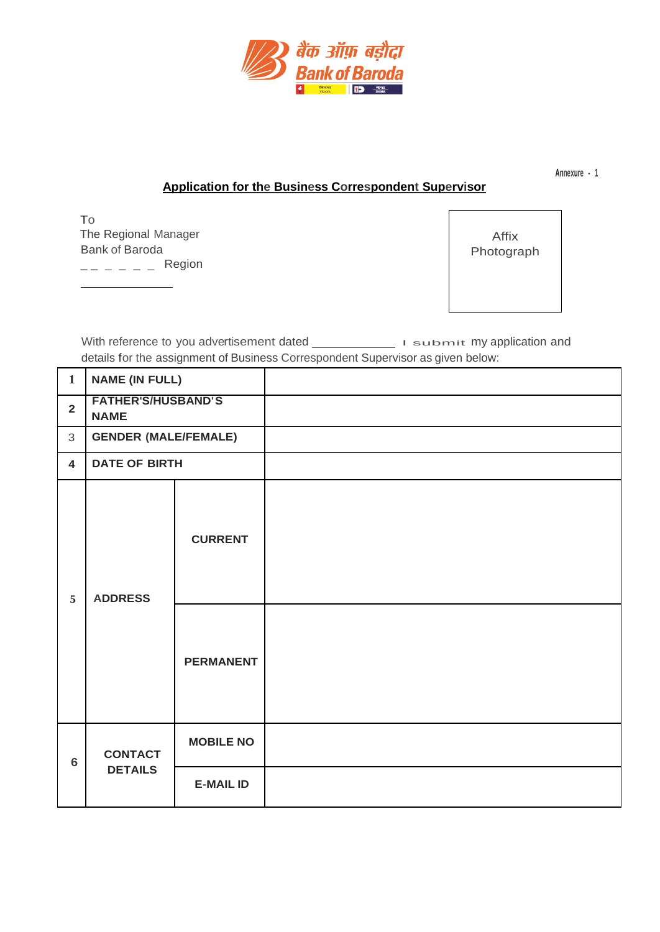

**Annexure - 1**

### **Application for the Business Correspondent Supervisor**

To The Regional Manager Bank of Baroda  $--- - - -$  Region

Affix Photograph

With reference to you advertisement dated \_\_\_\_\_\_\_\_\_\_\_\_\_\_\_\_ I submit my application and details for the assignment of Business Correspondent Supervisor as given below:

| $\mathbf{1}$            | <b>NAME (IN FULL)</b>                    |                                    |  |
|-------------------------|------------------------------------------|------------------------------------|--|
| $\overline{2}$          | <b>FATHER'S/HUSBAND'S</b><br><b>NAME</b> |                                    |  |
| 3                       | <b>GENDER (MALE/FEMALE)</b>              |                                    |  |
| $\overline{\mathbf{4}}$ | <b>DATE OF BIRTH</b>                     |                                    |  |
| 5                       | <b>ADDRESS</b>                           | <b>CURRENT</b><br><b>PERMANENT</b> |  |
| 6                       | <b>CONTACT</b><br><b>DETAILS</b>         | <b>MOBILE NO</b>                   |  |
|                         |                                          | <b>E-MAIL ID</b>                   |  |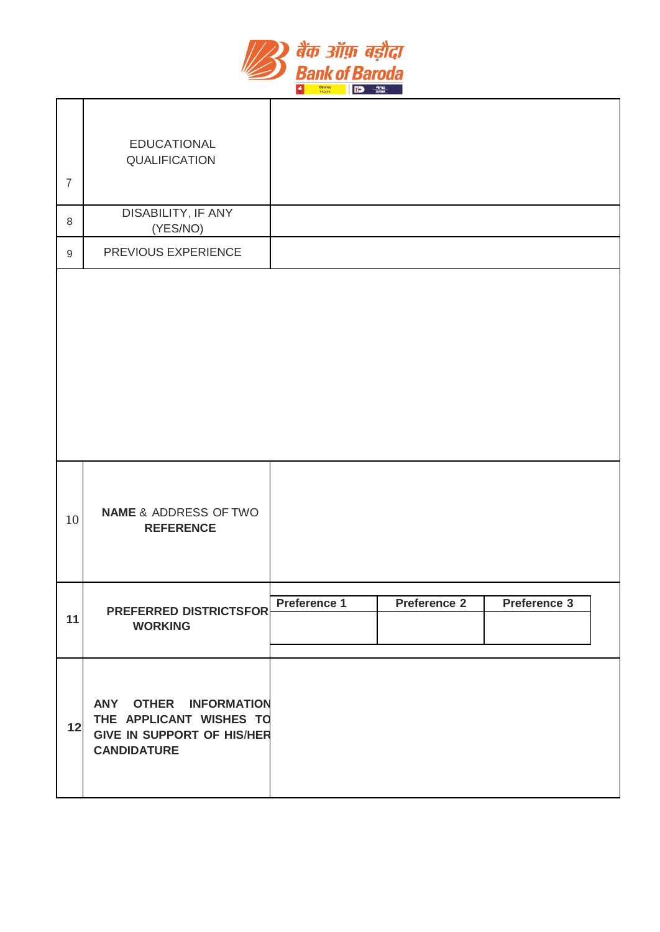

| $\overline{7}$   | <b>EDUCATIONAL</b><br>QUALIFICATION                                                                         |              |                     |              |  |
|------------------|-------------------------------------------------------------------------------------------------------------|--------------|---------------------|--------------|--|
| $\,8\,$          | DISABILITY, IF ANY<br>(YES/NO)                                                                              |              |                     |              |  |
| $\boldsymbol{9}$ | PREVIOUS EXPERIENCE                                                                                         |              |                     |              |  |
|                  |                                                                                                             |              |                     |              |  |
| 10               | <b>NAME &amp; ADDRESS OF TWO</b><br><b>REFERENCE</b>                                                        |              |                     |              |  |
| 11               | <b>PREFERRED DISTRICTSFOR</b><br><b>WORKING</b>                                                             | Preference 1 | <b>Preference 2</b> | Preference 3 |  |
| 12               | ANY OTHER INFORMATION<br>THE APPLICANT WISHES TO<br><b>GIVE IN SUPPORT OF HIS/HER</b><br><b>CANDIDATURE</b> |              |                     |              |  |